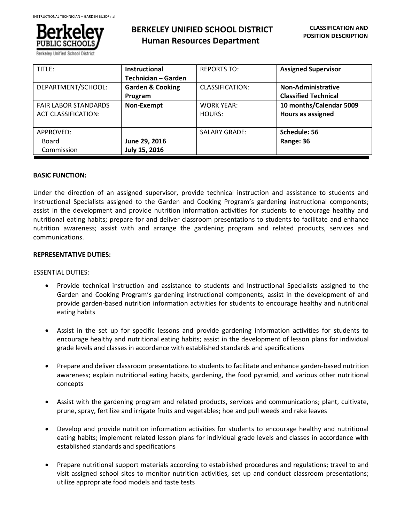

# **BERKELEY UNIFIED SCHOOL DISTRICT Human Resources Department**

| TITLE:                      | <b>Instructional</b>        | <b>REPORTS TO:</b>   | <b>Assigned Supervisor</b>  |
|-----------------------------|-----------------------------|----------------------|-----------------------------|
|                             | Technician – Garden         |                      |                             |
| DEPARTMENT/SCHOOL:          | <b>Garden &amp; Cooking</b> | CLASSIFICATION:      | Non-Administrative          |
|                             | Program                     |                      | <b>Classified Technical</b> |
| <b>FAIR LABOR STANDARDS</b> | Non-Exempt                  | <b>WORK YEAR:</b>    | 10 months/Calendar 5009     |
| <b>ACT CLASSIFICATION:</b>  |                             | HOURS:               | Hours as assigned           |
|                             |                             |                      |                             |
| APPROVED:                   |                             | <b>SALARY GRADE:</b> | Schedule: 56                |
| Board                       | June 29, 2016               |                      | Range: 36                   |
| Commission                  | July 15, 2016               |                      |                             |

# **BASIC FUNCTION:**

Under the direction of an assigned supervisor, provide technical instruction and assistance to students and Instructional Specialists assigned to the Garden and Cooking Program's gardening instructional components; assist in the development and provide nutrition information activities for students to encourage healthy and nutritional eating habits; prepare for and deliver classroom presentations to students to facilitate and enhance nutrition awareness; assist with and arrange the gardening program and related products, services and communications.

# **REPRESENTATIVE DUTIES:**

# ESSENTIAL DUTIES:

- Provide technical instruction and assistance to students and Instructional Specialists assigned to the Garden and Cooking Program's gardening instructional components; assist in the development of and provide garden-based nutrition information activities for students to encourage healthy and nutritional eating habits
- Assist in the set up for specific lessons and provide gardening information activities for students to encourage healthy and nutritional eating habits; assist in the development of lesson plans for individual grade levels and classes in accordance with established standards and specifications
- Prepare and deliver classroom presentations to students to facilitate and enhance garden-based nutrition awareness; explain nutritional eating habits, gardening, the food pyramid, and various other nutritional concepts
- Assist with the gardening program and related products, services and communications; plant, cultivate, prune, spray, fertilize and irrigate fruits and vegetables; hoe and pull weeds and rake leaves
- Develop and provide nutrition information activities for students to encourage healthy and nutritional eating habits; implement related lesson plans for individual grade levels and classes in accordance with established standards and specifications
- Prepare nutritional support materials according to established procedures and regulations; travel to and visit assigned school sites to monitor nutrition activities, set up and conduct classroom presentations; utilize appropriate food models and taste tests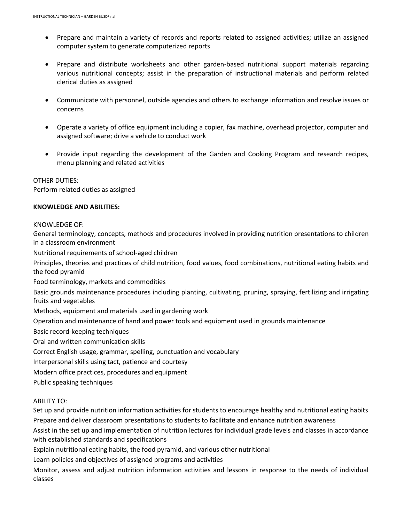- Prepare and maintain a variety of records and reports related to assigned activities; utilize an assigned computer system to generate computerized reports
- Prepare and distribute worksheets and other garden-based nutritional support materials regarding various nutritional concepts; assist in the preparation of instructional materials and perform related clerical duties as assigned
- Communicate with personnel, outside agencies and others to exchange information and resolve issues or concerns
- Operate a variety of office equipment including a copier, fax machine, overhead projector, computer and assigned software; drive a vehicle to conduct work
- Provide input regarding the development of the Garden and Cooking Program and research recipes, menu planning and related activities

OTHER DUTIES: Perform related duties as assigned

# **KNOWLEDGE AND ABILITIES:**

# KNOWLEDGE OF:

General terminology, concepts, methods and procedures involved in providing nutrition presentations to children in a classroom environment

Nutritional requirements of school-aged children

Principles, theories and practices of child nutrition, food values, food combinations, nutritional eating habits and the food pyramid

Food terminology, markets and commodities

Basic grounds maintenance procedures including planting, cultivating, pruning, spraying, fertilizing and irrigating fruits and vegetables

Methods, equipment and materials used in gardening work

Operation and maintenance of hand and power tools and equipment used in grounds maintenance

Basic record-keeping techniques

Oral and written communication skills

Correct English usage, grammar, spelling, punctuation and vocabulary

Interpersonal skills using tact, patience and courtesy

Modern office practices, procedures and equipment

Public speaking techniques

ABILITY TO:

Set up and provide nutrition information activities for students to encourage healthy and nutritional eating habits Prepare and deliver classroom presentations to students to facilitate and enhance nutrition awareness

Assist in the set up and implementation of nutrition lectures for individual grade levels and classes in accordance with established standards and specifications

Explain nutritional eating habits, the food pyramid, and various other nutritional

Learn policies and objectives of assigned programs and activities

Monitor, assess and adjust nutrition information activities and lessons in response to the needs of individual classes